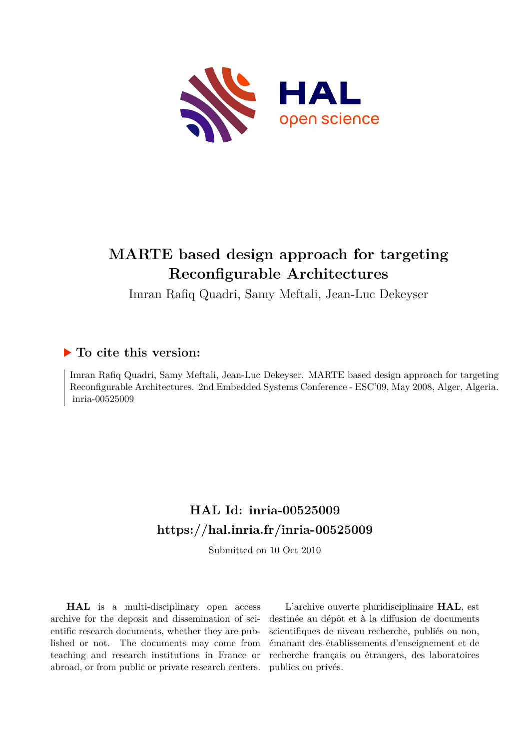

# **MARTE based design approach for targeting Reconfigurable Architectures**

Imran Rafiq Quadri, Samy Meftali, Jean-Luc Dekeyser

### **To cite this version:**

Imran Rafiq Quadri, Samy Meftali, Jean-Luc Dekeyser. MARTE based design approach for targeting Reconfigurable Architectures. 2nd Embedded Systems Conference - ESC'09, May 2008, Alger, Algeria.  $inria-00525009$ 

## **HAL Id: inria-00525009 <https://hal.inria.fr/inria-00525009>**

Submitted on 10 Oct 2010

**HAL** is a multi-disciplinary open access archive for the deposit and dissemination of scientific research documents, whether they are published or not. The documents may come from teaching and research institutions in France or abroad, or from public or private research centers.

L'archive ouverte pluridisciplinaire **HAL**, est destinée au dépôt et à la diffusion de documents scientifiques de niveau recherche, publiés ou non, émanant des établissements d'enseignement et de recherche français ou étrangers, des laboratoires publics ou privés.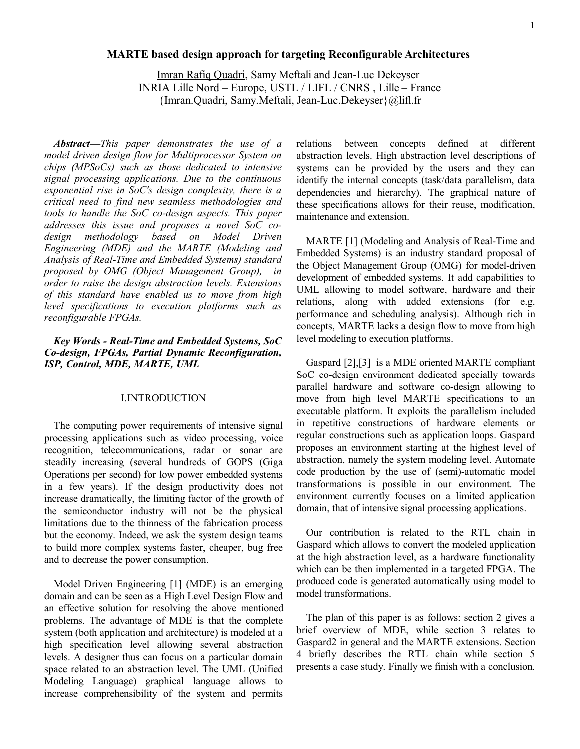#### **MARTE based design approach for targeting Reconfigurable Architectures**

Imran Rafiq Quadri, Samy Meftali and Jean-Luc Dekeyser INRIA Lille Nord – Europe, USTL / LIFL / CNRS , Lille – France {Imran.Quadri, Samy.Meftali, Jean-Luc.Dekeyser}@lifl.fr

*Abstract***—***This paper demonstrates the use of a model driven design flow for Multiprocessor System on chips (MPSoCs) such as those dedicated to intensive signal processing applications. Due to the continuous exponential rise in SoC's design complexity, there is a critical need to find new seamless methodologies and tools to handle the SoC co-design aspects. This paper addresses this issue and proposes a novel SoC codesign methodology based on Model Driven Engineering (MDE) and the MARTE (Modeling and Analysis of Real-Time and Embedded Systems) standard proposed by OMG (Object Management Group), in order to raise the design abstraction levels. Extensions of this standard have enabled us to move from high level specifications to execution platforms such as reconfigurable FPGAs.*

#### *Key Words - Real-Time and Embedded Systems, SoC Co-design, FPGAs, Partial Dynamic Reconfiguration, ISP, Control, MDE, MARTE, UML*

#### I.INTRODUCTION

The computing power requirements of intensive signal processing applications such as video processing, voice recognition, telecommunications, radar or sonar are steadily increasing (several hundreds of GOPS (Giga Operations per second) for low power embedded systems in a few years). If the design productivity does not increase dramatically, the limiting factor of the growth of the semiconductor industry will not be the physical limitations due to the thinness of the fabrication process but the economy. Indeed, we ask the system design teams to build more complex systems faster, cheaper, bug free and to decrease the power consumption.

Model Driven Engineering [1] (MDE) is an emerging domain and can be seen as a High Level Design Flow and an effective solution for resolving the above mentioned problems. The advantage of MDE is that the complete system (both application and architecture) is modeled at a high specification level allowing several abstraction levels. A designer thus can focus on a particular domain space related to an abstraction level. The UML (Unified Modeling Language) graphical language allows to increase comprehensibility of the system and permits relations between concepts defined at different abstraction levels. High abstraction level descriptions of systems can be provided by the users and they can identify the internal concepts (task/data parallelism, data dependencies and hierarchy). The graphical nature of these specifications allows for their reuse, modification, maintenance and extension.

MARTE [1] (Modeling and Analysis of Real-Time and Embedded Systems) is an industry standard proposal of the Object Management Group (OMG) for model-driven development of embedded systems. It add capabilities to UML allowing to model software, hardware and their relations, along with added extensions (for e.g. performance and scheduling analysis). Although rich in concepts, MARTE lacks a design flow to move from high level modeling to execution platforms.

Gaspard [2],[3] is a MDE oriented MARTE compliant SoC co-design environment dedicated specially towards parallel hardware and software co-design allowing to move from high level MARTE specifications to an executable platform. It exploits the parallelism included in repetitive constructions of hardware elements or regular constructions such as application loops. Gaspard proposes an environment starting at the highest level of abstraction, namely the system modeling level. Automate code production by the use of (semi)-automatic model transformations is possible in our environment. The environment currently focuses on a limited application domain, that of intensive signal processing applications.

Our contribution is related to the RTL chain in Gaspard which allows to convert the modeled application at the high abstraction level, as a hardware functionality which can be then implemented in a targeted FPGA. The produced code is generated automatically using model to model transformations.

The plan of this paper is as follows: section 2 gives a brief overview of MDE, while section 3 relates to Gaspard2 in general and the MARTE extensions. Section 4 briefly describes the RTL chain while section 5 presents a case study. Finally we finish with a conclusion.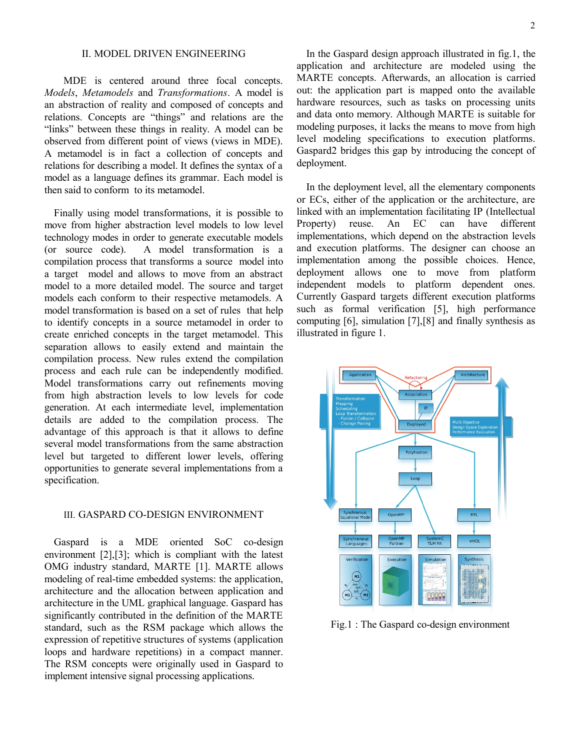#### II. MODEL DRIVEN ENGINEERING

MDE is centered around three focal concepts. *Models*, *Metamodels* and *Transformations*. A model is an abstraction of reality and composed of concepts and relations. Concepts are "things" and relations are the "links" between these things in reality. A model can be observed from different point of views (views in MDE). A metamodel is in fact a collection of concepts and relations for describing a model. It defines the syntax of a model as a language defines its grammar. Each model is then said to conform to its metamodel.

Finally using model transformations, it is possible to move from higher abstraction level models to low level technology modes in order to generate executable models (or source code). A model transformation is a compilation process that transforms a source model into a target model and allows to move from an abstract model to a more detailed model. The source and target models each conform to their respective metamodels. A model transformation is based on a set of rules that help to identify concepts in a source metamodel in order to create enriched concepts in the target metamodel. This separation allows to easily extend and maintain the compilation process. New rules extend the compilation process and each rule can be independently modified. Model transformations carry out refinements moving from high abstraction levels to low levels for code generation. At each intermediate level, implementation details are added to the compilation process. The advantage of this approach is that it allows to define several model transformations from the same abstraction level but targeted to different lower levels, offering opportunities to generate several implementations from a specification.

#### III. GASPARD CO-DESIGN ENVIRONMENT

Gaspard is a MDE oriented SoC co-design environment [2],[3]; which is compliant with the latest OMG industry standard, MARTE [1]. MARTE allows modeling of real-time embedded systems: the application, architecture and the allocation between application and architecture in the UML graphical language. Gaspard has significantly contributed in the definition of the MARTE standard, such as the RSM package which allows the expression of repetitive structures of systems (application loops and hardware repetitions) in a compact manner. The RSM concepts were originally used in Gaspard to implement intensive signal processing applications.

In the Gaspard design approach illustrated in fig.1, the application and architecture are modeled using the MARTE concepts. Afterwards, an allocation is carried out: the application part is mapped onto the available hardware resources, such as tasks on processing units and data onto memory. Although MARTE is suitable for modeling purposes, it lacks the means to move from high level modeling specifications to execution platforms. Gaspard2 bridges this gap by introducing the concept of deployment.

In the deployment level, all the elementary components or ECs, either of the application or the architecture, are linked with an implementation facilitating IP (Intellectual Property) reuse. An EC can have different implementations, which depend on the abstraction levels and execution platforms. The designer can choose an implementation among the possible choices. Hence, deployment allows one to move from platform independent models to platform dependent ones. Currently Gaspard targets different execution platforms such as formal verification [5], high performance computing [6], simulation [7],[8] and finally synthesis as illustrated in figure 1.



Fig.1 : The Gaspard co-design environment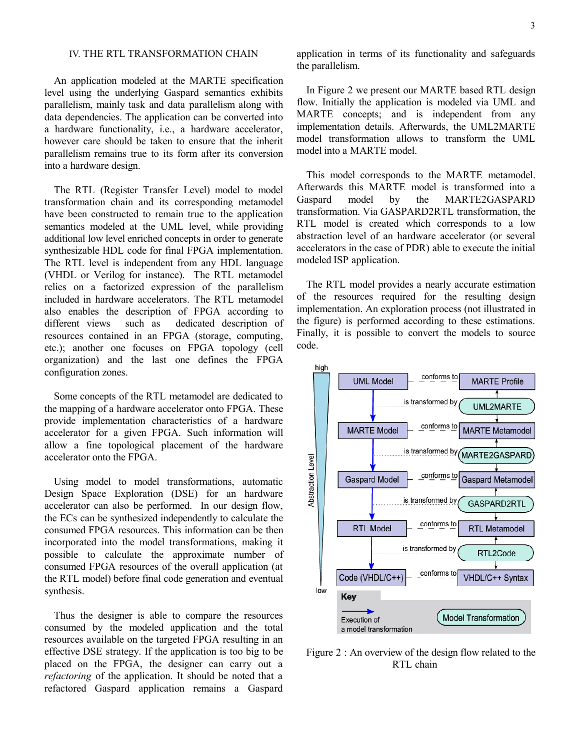#### IV. THE RTL TRANSFORMATION CHAIN

An application modeled at the MARTE specification level using the underlying Gaspard semantics exhibits parallelism, mainly task and data parallelism along with data dependencies. The application can be converted into a hardware functionality, i.e., a hardware accelerator, however care should be taken to ensure that the inherit parallelism remains true to its form after its conversion into a hardware design.

The RTL (Register Transfer Level) model to model transformation chain and its corresponding metamodel have been constructed to remain true to the application semantics modeled at the UML level, while providing additional low level enriched concepts in order to generate synthesizable HDL code for final FPGA implementation. The RTL level is independent from any HDL language (VHDL or Verilog for instance). The RTL metamodel relies on a factorized expression of the parallelism included in hardware accelerators. The RTL metamodel also enables the description of FPGA according to different views such as dedicated description of resources contained in an FPGA (storage, computing, etc.); another one focuses on FPGA topology (cell organization) and the last one defines the FPGA configuration zones.

Some concepts of the RTL metamodel are dedicated to the mapping of a hardware accelerator onto FPGA. These provide implementation characteristics of a hardware accelerator for a given FPGA. Such information will allow a fine topological placement of the hardware accelerator onto the FPGA.

Using model to model transformations, automatic Design Space Exploration (DSE) for an hardware accelerator can also be performed. In our design flow, the ECs can be synthesized independently to calculate the consumed FPGA resources. This information can be then incorporated into the model transformations, making it possible to calculate the approximate number of consumed FPGA resources of the overall application (at the RTL model) before final code generation and eventual synthesis.

Thus the designer is able to compare the resources consumed by the modeled application and the total resources available on the targeted FPGA resulting in an effective DSE strategy. If the application is too big to be placed on the FPGA, the designer can carry out a *refactoring* of the application. It should be noted that a refactored Gaspard application remains a Gaspard application in terms of its functionality and safeguards the parallelism.

In Figure 2 we present our MARTE based RTL design flow. Initially the application is modeled via UML and MARTE concepts; and is independent from any implementation details. Afterwards, the UML2MARTE model transformation allows to transform the UML model into a MARTE model.

This model corresponds to the MARTE metamodel. Afterwards this MARTE model is transformed into a Gaspard model by the MARTE2GASPARD transformation. Via GASPARD2RTL transformation, the RTL model is created which corresponds to a low abstraction level of an hardware accelerator (or several accelerators in the case of PDR) able to execute the initial modeled ISP application.

The RTL model provides a nearly accurate estimation of the resources required for the resulting design implementation. An exploration process (not illustrated in the figure) is performed according to these estimations. Finally, it is possible to convert the models to source code.



Figure 2 : An overview of the design flow related to the RTL chain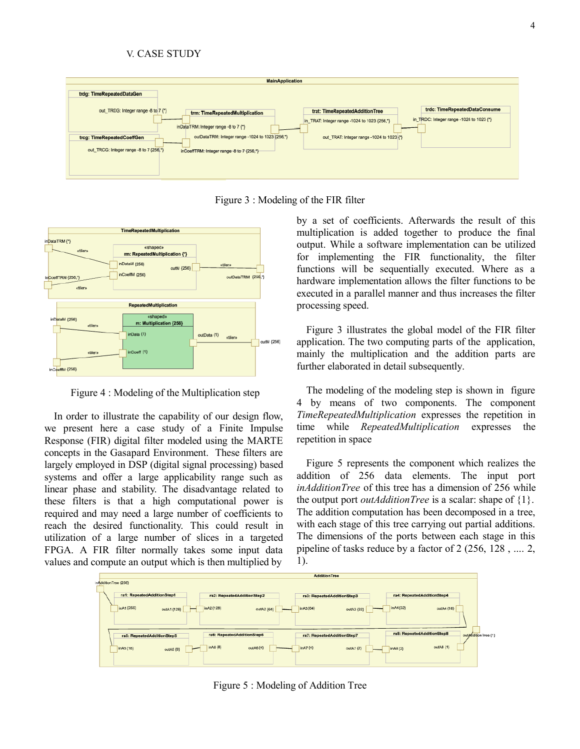#### V. CASE STUDY



Figure 3 : Modeling of the FIR filter



Figure 4 : Modeling of the Multiplication step

In order to illustrate the capability of our design flow, we present here a case study of a Finite Impulse Response (FIR) digital filter modeled using the MARTE concepts in the Gasapard Environment. These filters are largely employed in DSP (digital signal processing) based systems and offer a large applicability range such as linear phase and stability. The disadvantage related to these filters is that a high computational power is required and may need a large number of coefficients to reach the desired functionality. This could result in utilization of a large number of slices in a targeted FPGA. A FIR filter normally takes some input data values and compute an output which is then multiplied by

by a set of coefficients. Afterwards the result of this multiplication is added together to produce the final output. While a software implementation can be utilized for implementing the FIR functionality, the filter functions will be sequentially executed. Where as a hardware implementation allows the filter functions to be executed in a parallel manner and thus increases the filter processing speed.

Figure 3 illustrates the global model of the FIR filter application. The two computing parts of the application, mainly the multiplication and the addition parts are further elaborated in detail subsequently.

The modeling of the modeling step is shown in figure 4 by means of two components. The component *TimeRepeatedMultiplication* expresses the repetition in time while *RepeatedMultiplication* expresses the repetition in space

Figure 5 represents the component which realizes the addition of 256 data elements. The input port *inAdditionTree* of this tree has a dimension of 256 while the output port *outAdditionTree* is a scalar: shape of {1}. The addition computation has been decomposed in a tree, with each stage of this tree carrying out partial additions. The dimensions of the ports between each stage in this pipeline of tasks reduce by a factor of 2 (256, 128 , .... 2, 1).



Figure 5 : Modeling of Addition Tree